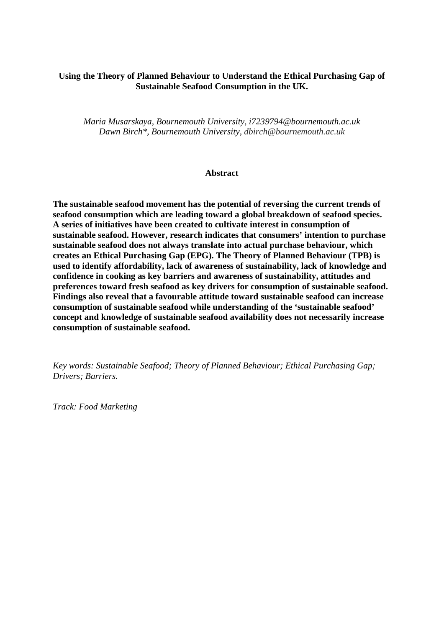# **Using the Theory of Planned Behaviour to Understand the Ethical Purchasing Gap of Sustainable Seafood Consumption in the UK.**

*Maria Musarskaya, Bournemouth University, i7239794@bournemouth.ac.uk Dawn Birch\*, Bournemouth University, dbirch@bournemouth.ac.uk*

#### **Abstract**

**The sustainable seafood movement has the potential of reversing the current trends of seafood consumption which are leading toward a global breakdown of seafood species. A series of initiatives have been created to cultivate interest in consumption of sustainable seafood. However, research indicates that consumers' intention to purchase sustainable seafood does not always translate into actual purchase behaviour, which creates an Ethical Purchasing Gap (EPG). The Theory of Planned Behaviour (TPB) is used to identify affordability, lack of awareness of sustainability, lack of knowledge and confidence in cooking as key barriers and awareness of sustainability, attitudes and preferences toward fresh seafood as key drivers for consumption of sustainable seafood. Findings also reveal that a favourable attitude toward sustainable seafood can increase consumption of sustainable seafood while understanding of the 'sustainable seafood' concept and knowledge of sustainable seafood availability does not necessarily increase consumption of sustainable seafood.** 

*Key words: Sustainable Seafood; Theory of Planned Behaviour; Ethical Purchasing Gap; Drivers; Barriers.*

*Track: Food Marketing*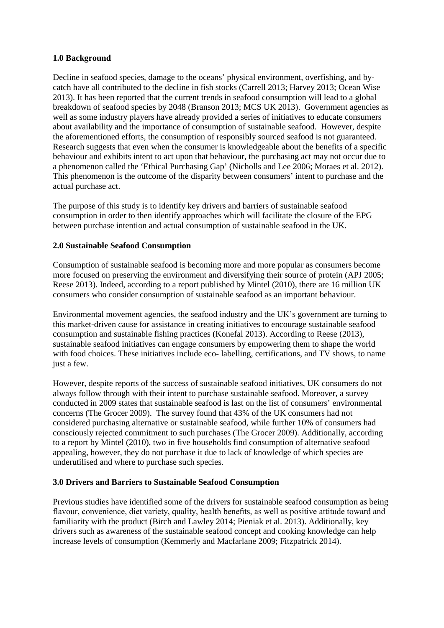## **1.0 Background**

Decline in seafood species, damage to the oceans' physical environment, overfishing, and bycatch have all contributed to the decline in fish stocks (Carrell 2013; Harvey 2013; Ocean Wise 2013). It has been reported that the current trends in seafood consumption will lead to a global breakdown of seafood species by 2048 (Branson 2013; MCS UK 2013). Government agencies as well as some industry players have already provided a series of initiatives to educate consumers about availability and the importance of consumption of sustainable seafood. However, despite the aforementioned efforts, the consumption of responsibly sourced seafood is not guaranteed. Research suggests that even when the consumer is knowledgeable about the benefits of a specific behaviour and exhibits intent to act upon that behaviour, the purchasing act may not occur due to a phenomenon called the 'Ethical Purchasing Gap' (Nicholls and Lee 2006; Moraes et al. 2012). This phenomenon is the outcome of the disparity between consumers' intent to purchase and the actual purchase act.

The purpose of this study is to identify key drivers and barriers of sustainable seafood consumption in order to then identify approaches which will facilitate the closure of the EPG between purchase intention and actual consumption of sustainable seafood in the UK.

# **2.0 Sustainable Seafood Consumption**

Consumption of sustainable seafood is becoming more and more popular as consumers become more focused on preserving the environment and diversifying their source of protein (APJ 2005; Reese 2013). Indeed, according to a report published by Mintel (2010), there are 16 million UK consumers who consider consumption of sustainable seafood as an important behaviour.

Environmental movement agencies, the seafood industry and the UK's government are turning to this market-driven cause for assistance in creating initiatives to encourage sustainable seafood consumption and sustainable fishing practices (Konefal 2013). According to Reese (2013), sustainable seafood initiatives can engage consumers by empowering them to shape the world with food choices. These initiatives include eco- labelling, certifications, and TV shows, to name just a few.

However, despite reports of the success of sustainable seafood initiatives, UK consumers do not always follow through with their intent to purchase sustainable seafood. Moreover, a survey conducted in 2009 states that sustainable seafood is last on the list of consumers' environmental concerns (The Grocer 2009). The survey found that 43% of the UK consumers had not considered purchasing alternative or sustainable seafood, while further 10% of consumers had consciously rejected commitment to such purchases (The Grocer 2009). Additionally, according to a report by Mintel (2010), two in five households find consumption of alternative seafood appealing, however, they do not purchase it due to lack of knowledge of which species are underutilised and where to purchase such species.

## **3.0 Drivers and Barriers to Sustainable Seafood Consumption**

Previous studies have identified some of the drivers for sustainable seafood consumption as being flavour, convenience, diet variety, quality, health benefits, as well as positive attitude toward and familiarity with the product (Birch and Lawley 2014; Pieniak et al. 2013). Additionally, key drivers such as awareness of the sustainable seafood concept and cooking knowledge can help increase levels of consumption (Kemmerly and Macfarlane 2009; Fitzpatrick 2014).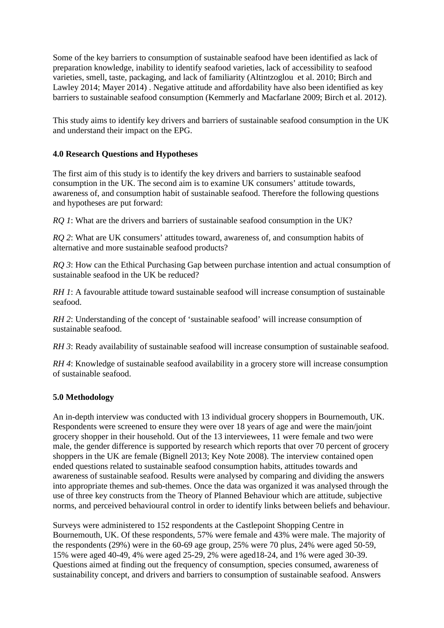Some of the key barriers to consumption of sustainable seafood have been identified as lack of preparation knowledge, inability to identify seafood varieties, lack of accessibility to seafood varieties, smell, taste, packaging, and lack of familiarity (Altintzoglou et al. 2010; Birch and Lawley 2014; Mayer 2014) . Negative attitude and affordability have also been identified as key barriers to sustainable seafood consumption (Kemmerly and Macfarlane 2009; Birch et al. 2012).

This study aims to identify key drivers and barriers of sustainable seafood consumption in the UK and understand their impact on the EPG.

## **4.0 Research Questions and Hypotheses**

The first aim of this study is to identify the key drivers and barriers to sustainable seafood consumption in the UK. The second aim is to examine UK consumers' attitude towards, awareness of, and consumption habit of sustainable seafood. Therefore the following questions and hypotheses are put forward:

*RQ 1*: What are the drivers and barriers of sustainable seafood consumption in the UK?

*RQ 2*: What are UK consumers' attitudes toward, awareness of, and consumption habits of alternative and more sustainable seafood products?

*RQ 3*: How can the Ethical Purchasing Gap between purchase intention and actual consumption of sustainable seafood in the UK be reduced?

*RH 1*: A favourable attitude toward sustainable seafood will increase consumption of sustainable seafood.

*RH 2*: Understanding of the concept of 'sustainable seafood' will increase consumption of sustainable seafood.

*RH 3*: Ready availability of sustainable seafood will increase consumption of sustainable seafood.

*RH 4*: Knowledge of sustainable seafood availability in a grocery store will increase consumption of sustainable seafood.

## **5.0 Methodology**

An in-depth interview was conducted with 13 individual grocery shoppers in Bournemouth, UK. Respondents were screened to ensure they were over 18 years of age and were the main/joint grocery shopper in their household. Out of the 13 interviewees, 11 were female and two were male, the gender difference is supported by research which reports that over 70 percent of grocery shoppers in the UK are female (Bignell 2013; Key Note 2008). The interview contained open ended questions related to sustainable seafood consumption habits, attitudes towards and awareness of sustainable seafood. Results were analysed by comparing and dividing the answers into appropriate themes and sub-themes. Once the data was organized it was analysed through the use of three key constructs from the Theory of Planned Behaviour which are attitude, subjective norms, and perceived behavioural control in order to identify links between beliefs and behaviour.

Surveys were administered to 152 respondents at the Castlepoint Shopping Centre in Bournemouth, UK. Of these respondents, 57% were female and 43% were male. The majority of the respondents (29%) were in the 60-69 age group, 25% were 70 plus, 24% were aged 50-59, 15% were aged 40-49, 4% were aged 25-29, 2% were aged18-24, and 1% were aged 30-39. Questions aimed at finding out the frequency of consumption, species consumed, awareness of sustainability concept, and drivers and barriers to consumption of sustainable seafood. Answers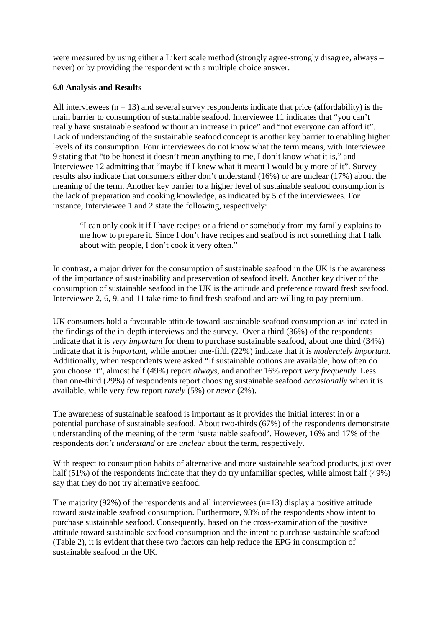were measured by using either a Likert scale method (strongly agree-strongly disagree, always – never) or by providing the respondent with a multiple choice answer.

## **6.0 Analysis and Results**

All interviewees  $(n = 13)$  and several survey respondents indicate that price (affordability) is the main barrier to consumption of sustainable seafood. Interviewee 11 indicates that "you can't really have sustainable seafood without an increase in price" and "not everyone can afford it". Lack of understanding of the sustainable seafood concept is another key barrier to enabling higher levels of its consumption. Four interviewees do not know what the term means, with Interviewee 9 stating that "to be honest it doesn't mean anything to me, I don't know what it is," and Interviewee 12 admitting that "maybe if I knew what it meant I would buy more of it". Survey results also indicate that consumers either don't understand (16%) or are unclear (17%) about the meaning of the term. Another key barrier to a higher level of sustainable seafood consumption is the lack of preparation and cooking knowledge, as indicated by 5 of the interviewees. For instance, Interviewee 1 and 2 state the following, respectively:

"I can only cook it if I have recipes or a friend or somebody from my family explains to me how to prepare it. Since I don't have recipes and seafood is not something that I talk about with people, I don't cook it very often."

In contrast, a major driver for the consumption of sustainable seafood in the UK is the awareness of the importance of sustainability and preservation of seafood itself. Another key driver of the consumption of sustainable seafood in the UK is the attitude and preference toward fresh seafood. Interviewee 2, 6, 9, and 11 take time to find fresh seafood and are willing to pay premium.

UK consumers hold a favourable attitude toward sustainable seafood consumption as indicated in the findings of the in-depth interviews and the survey. Over a third (36%) of the respondents indicate that it is *very important* for them to purchase sustainable seafood, about one third (34%) indicate that it is *important*, while another one-fifth (22%) indicate that it is *moderately important*. Additionally, when respondents were asked "If sustainable options are available, how often do you choose it", almost half (49%) report *always*, and another 16% report *very frequently*. Less than one-third (29%) of respondents report choosing sustainable seafood *occasionally* when it is available, while very few report *rarely* (5%) or *never* (2%).

The awareness of sustainable seafood is important as it provides the initial interest in or a potential purchase of sustainable seafood. About two-thirds (67%) of the respondents demonstrate understanding of the meaning of the term 'sustainable seafood'. However, 16% and 17% of the respondents *don't understand* or are *unclear* about the term, respectively.

With respect to consumption habits of alternative and more sustainable seafood products, just over half (51%) of the respondents indicate that they do try unfamiliar species, while almost half (49%) say that they do not try alternative seafood.

The majority (92%) of the respondents and all interviewees  $(n=13)$  display a positive attitude toward sustainable seafood consumption. Furthermore, 93% of the respondents show intent to purchase sustainable seafood. Consequently, based on the cross-examination of the positive attitude toward sustainable seafood consumption and the intent to purchase sustainable seafood (Table 2), it is evident that these two factors can help reduce the EPG in consumption of sustainable seafood in the UK.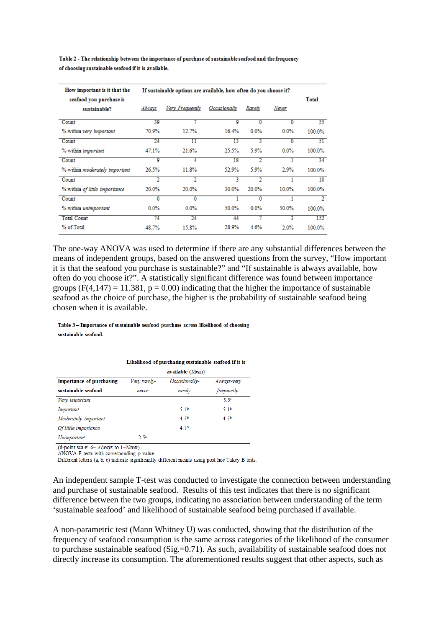| How important is it that the            | If sustainable options are available, how often do you choose it? |                 |              |        |       |              |
|-----------------------------------------|-------------------------------------------------------------------|-----------------|--------------|--------|-------|--------------|
| seafood you purchase is<br>sustainable? | Always                                                            | Very Frequently | Occasionally | Rarely | Never | <b>Total</b> |
| Count                                   | 39                                                                | 7               | 9            | 0      | 0     | 55           |
| % within very important                 | 70.9%                                                             | 12.7%           | 16.4%        | 0.0%   | 0.0%  | 100.0%       |
| Count                                   | 24                                                                | 11              | 13           | 3      | 0     | 51           |
| % within important                      | 47.1%                                                             | 21.6%           | 25.5%        | 5.9%   | 0.0%  | 100.0%       |
| Count                                   | 9                                                                 | 4               | 18           | 2      |       | 34           |
| % within moderately important           | 26.5%                                                             | 11.8%           | 52.9%        | 5.9%   | 2.9%  | 100.0%       |
| Count                                   | 2                                                                 | 2               | 3            | 2      |       | 10           |
| % within of little importance           | 20.0%                                                             | 20.0%           | 30.0%        | 20.0%  | 10.0% | 100.0%       |
| Count                                   | 0                                                                 | 0               |              | 0      |       | 2            |
| % within unimportant                    | $0.0\%$                                                           | $0.0\%$         | 50.0%        | 0.0%   | 50.0% | 100.0%       |
| <b>Total Count</b>                      | 74                                                                | 24              | 44           |        | 3     | 152          |
| % of Total                              | 48.7%                                                             | 15.8%           | 28.9%        | 4.6%   | 2.0%  | 100.0%       |

Table 2 - The relationship between the importance of purchase of sustainable seafood and the frequency of choosing sustainable seafood if it is available.

The one-way ANOVA was used to determine if there are any substantial differences between the means of independent groups, based on the answered questions from the survey, "How important it is that the seafood you purchase is sustainable?" and "If sustainable is always available, how often do you choose it?". A statistically significant difference was found between importance groups  $(F(4,147) = 11.381, p = 0.00)$  indicating that the higher the importance of sustainable seafood as the choice of purchase, the higher is the probability of sustainable seafood being chosen when it is available.

#### Table 3 - Importance of sustainable seafood purchase across likelihood of choosing sustainable seafood

| Importance of purchasing | Likelihood of purchasing sustainable seafood if it is<br>available (Mean) |                  |                  |  |  |
|--------------------------|---------------------------------------------------------------------------|------------------|------------------|--|--|
|                          | Very rarely-                                                              | Occasionally-    | Always-very      |  |  |
| sustainable seafood      | navar                                                                     | rarelv           | frequently       |  |  |
| Very important           |                                                                           |                  | 5.5¢             |  |  |
| Important                |                                                                           | 51 <sup>b</sup>  | 51 <sup>b</sup>  |  |  |
| Moderately important     |                                                                           | 4.5 <sup>b</sup> | 4.5 <sup>b</sup> |  |  |
| Of little importance     |                                                                           | 41 <sup>b</sup>  |                  |  |  |
| Unimportant              | 2.5 <sup>a</sup>                                                          |                  |                  |  |  |

(6-point scale:  $6 =$  Always to 1=Never)

ANOVA F-tests with corresponding p-value.

Different letters (a, b, c) indicate significantly different means using post hoc Tukey B tests.

An independent sample T-test was conducted to investigate the connection between understanding and purchase of sustainable seafood. Results of this test indicates that there is no significant difference between the two groups, indicating no association between understanding of the term 'sustainable seafood' and likelihood of sustainable seafood being purchased if available.

A non-parametric test (Mann Whitney U) was conducted, showing that the distribution of the frequency of seafood consumption is the same across categories of the likelihood of the consumer to purchase sustainable seafood (Sig.=0.71). As such, availability of sustainable seafood does not directly increase its consumption. The aforementioned results suggest that other aspects, such as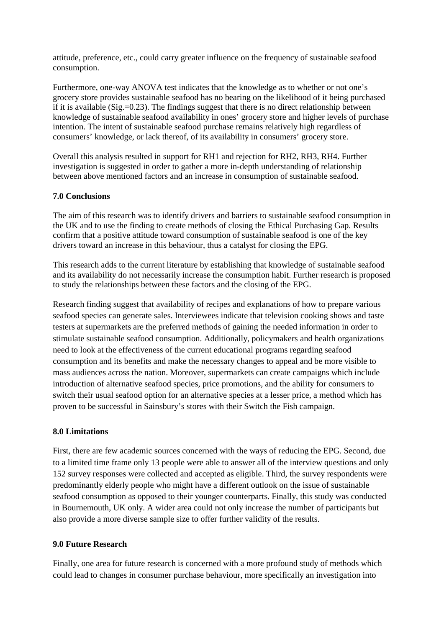attitude, preference, etc., could carry greater influence on the frequency of sustainable seafood consumption.

Furthermore, one-way ANOVA test indicates that the knowledge as to whether or not one's grocery store provides sustainable seafood has no bearing on the likelihood of it being purchased if it is available  $(Sig, =0.23)$ . The findings suggest that there is no direct relationship between knowledge of sustainable seafood availability in ones' grocery store and higher levels of purchase intention. The intent of sustainable seafood purchase remains relatively high regardless of consumers' knowledge, or lack thereof, of its availability in consumers' grocery store.

Overall this analysis resulted in support for RH1 and rejection for RH2, RH3, RH4. Further investigation is suggested in order to gather a more in-depth understanding of relationship between above mentioned factors and an increase in consumption of sustainable seafood.

## **7.0 Conclusions**

The aim of this research was to identify drivers and barriers to sustainable seafood consumption in the UK and to use the finding to create methods of closing the Ethical Purchasing Gap. Results confirm that a positive attitude toward consumption of sustainable seafood is one of the key drivers toward an increase in this behaviour, thus a catalyst for closing the EPG.

This research adds to the current literature by establishing that knowledge of sustainable seafood and its availability do not necessarily increase the consumption habit. Further research is proposed to study the relationships between these factors and the closing of the EPG.

Research finding suggest that availability of recipes and explanations of how to prepare various seafood species can generate sales. Interviewees indicate that television cooking shows and taste testers at supermarkets are the preferred methods of gaining the needed information in order to stimulate sustainable seafood consumption. Additionally, policymakers and health organizations need to look at the effectiveness of the current educational programs regarding seafood consumption and its benefits and make the necessary changes to appeal and be more visible to mass audiences across the nation. Moreover, supermarkets can create campaigns which include introduction of alternative seafood species, price promotions, and the ability for consumers to switch their usual seafood option for an alternative species at a lesser price, a method which has proven to be successful in Sainsbury's stores with their Switch the Fish campaign.

## **8.0 Limitations**

First, there are few academic sources concerned with the ways of reducing the EPG. Second, due to a limited time frame only 13 people were able to answer all of the interview questions and only 152 survey responses were collected and accepted as eligible. Third, the survey respondents were predominantly elderly people who might have a different outlook on the issue of sustainable seafood consumption as opposed to their younger counterparts. Finally, this study was conducted in Bournemouth, UK only. A wider area could not only increase the number of participants but also provide a more diverse sample size to offer further validity of the results.

## **9.0 Future Research**

Finally, one area for future research is concerned with a more profound study of methods which could lead to changes in consumer purchase behaviour, more specifically an investigation into